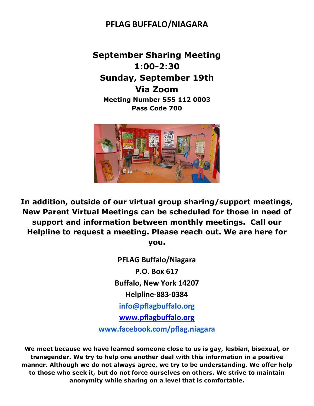## **PFLAG BUFFALO/NIAGARA**

**September Sharing Meeting 1:00-2:30 Sunday, September 19th Via Zoom Meeting Number 555 112 0003 Pass Code 700**



**In addition, outside of our virtual group sharing/support meetings, New Parent Virtual Meetings can be scheduled for those in need of support and information between monthly meetings. Call our Helpline to request a meeting. Please reach out. We are here for you.**

> **PFLAG Buffalo/Niagara P.O. Box 617 Buffalo, New York 14207 Helpline-883-0384 [info@pflagbuffalo.org](mailto:info@pflagbuffalo.org) [www.pflagbuffalo.org](http://www.pflagbuffalo.org/) [www.facebook.com/pflag.niagara](http://www.facebook.com/pflag.niagara)**

**We meet because we have learned someone close to us is gay, lesbian, bisexual, or transgender. We try to help one another deal with this information in a positive manner. Although we do not always agree, we try to be understanding. We offer help to those who seek it, but do not force ourselves on others. We strive to maintain anonymity while sharing on a level that is comfortable.**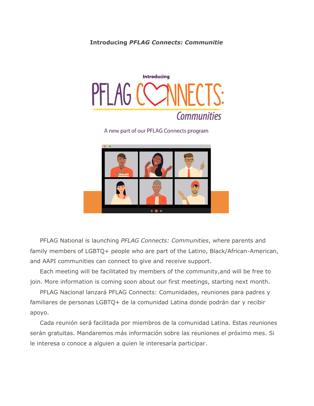## **Introducing** *PFLAG Connects: Communitie*



A new part of our PFLAG Connects program



 PFLAG National is launching *PFLAG Connects: Communities*, where parents and family members of LGBTQ+ people who are part of the Latino, Black/African-American, and AAPI communities can connect to give and receive support.

 Each meeting will be facilitated by members of the community,and will be free to join. More information is coming soon about our first meetings, starting next month.

 PFLAG Nacional lanzará PFLAG Connects: Comunidades, reuniones para padres y familiares de personas LGBTQ+ de la comunidad Latina donde podrán dar y recibir apoyo.

 Cada reunión será facilitada por miembros de la comunidad Latina. Estas reuniones serán gratuitas. Mandaremos más información sobre las reuniones el próximo mes. Si le interesa o conoce a alguien a quien le interesaría participar.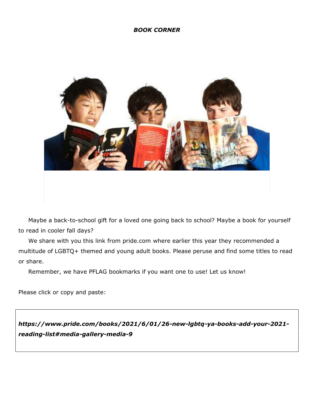## *BOOK CORNER*



 Maybe a back-to-school gift for a loved one going back to school? Maybe a book for yourself to read in cooler fall days?

 We share with you this link from pride.com where earlier this year they recommended a multitude of LGBTQ+ themed and young adult books. Please peruse and find some titles to read or share.

Remember, we have PFLAG bookmarks if you want one to use! Let us know!

Please click or copy and paste:

*https://www.pride.com/books/2021/6/01/26-new-lgbtq-ya-books-add-your-2021 reading-list#media-gallery-media-9*